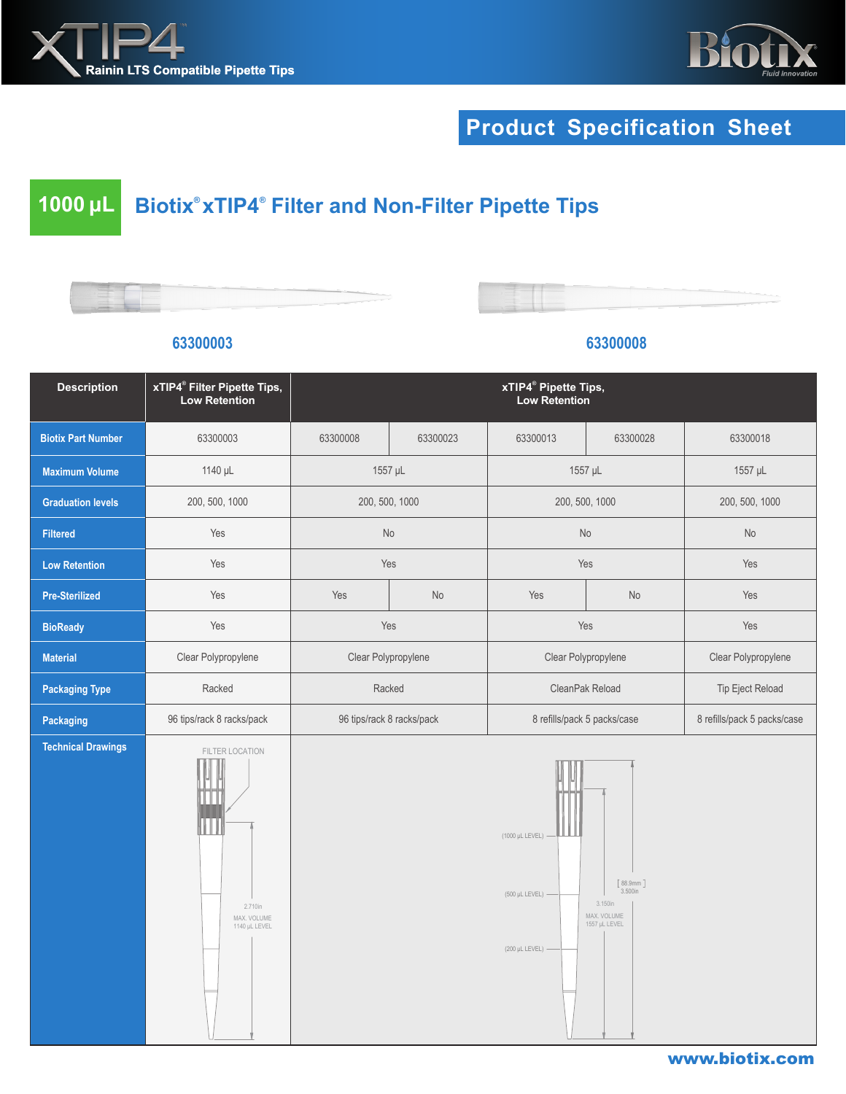



## **Product Specification Sheet**

## **1000 μL Biotix® xTIP4***®*  **Filter and Non-Filter Pipette Tips**

| -- |  |
|----|--|
|    |  |
|    |  |
|    |  |
|    |  |



| <b>Description</b>        | xTIP4 <sup>®</sup> Filter Pipette Tips,<br><b>Low Retention</b> | xTIP4 <sup>®</sup> Pipette Tips,<br>Low Retention |                           |                                                            |                                                                |                             |
|---------------------------|-----------------------------------------------------------------|---------------------------------------------------|---------------------------|------------------------------------------------------------|----------------------------------------------------------------|-----------------------------|
| <b>Biotix Part Number</b> | 63300003                                                        | 63300008                                          | 63300023                  | 63300013                                                   | 63300028                                                       | 63300018                    |
| <b>Maximum Volume</b>     | 1140 µL                                                         | 1557 µL                                           |                           | 1557 µL                                                    |                                                                | 1557 µL                     |
| <b>Graduation levels</b>  | 200, 500, 1000                                                  | 200, 500, 1000                                    |                           | 200, 500, 1000                                             |                                                                | 200, 500, 1000              |
| <b>Filtered</b>           | Yes                                                             | No                                                |                           | No                                                         |                                                                | No                          |
| <b>Low Retention</b>      | Yes                                                             |                                                   | Yes                       |                                                            | Yes                                                            | Yes                         |
| <b>Pre-Sterilized</b>     | Yes                                                             | Yes                                               | No                        | Yes                                                        | No                                                             | Yes                         |
| <b>BioReady</b>           | Yes                                                             | Yes                                               |                           | Yes                                                        |                                                                | Yes                         |
| <b>Material</b>           | Clear Polypropylene                                             | Clear Polypropylene                               |                           | Clear Polypropylene                                        |                                                                | Clear Polypropylene         |
| <b>Packaging Type</b>     | Racked                                                          |                                                   | Racked<br>CleanPak Reload |                                                            |                                                                | Tip Eject Reload            |
| Packaging                 | 96 tips/rack 8 racks/pack                                       |                                                   | 96 tips/rack 8 racks/pack |                                                            | 8 refills/pack 5 packs/case                                    | 8 refills/pack 5 packs/case |
| <b>Technical Drawings</b> | FILTER LOCATION<br>2.710in<br>MAX. VOLUME<br>1140 µL LEVEL      |                                                   |                           | (1000 µL LEVEL)<br>(500 µL LEVEL) -<br>$(200 \mu L$ LEVEL) | [88.9mm]<br>3.500in<br>3.150in<br>MAX. VOLUME<br>1557 µL LEVEL | www.biotix.com              |